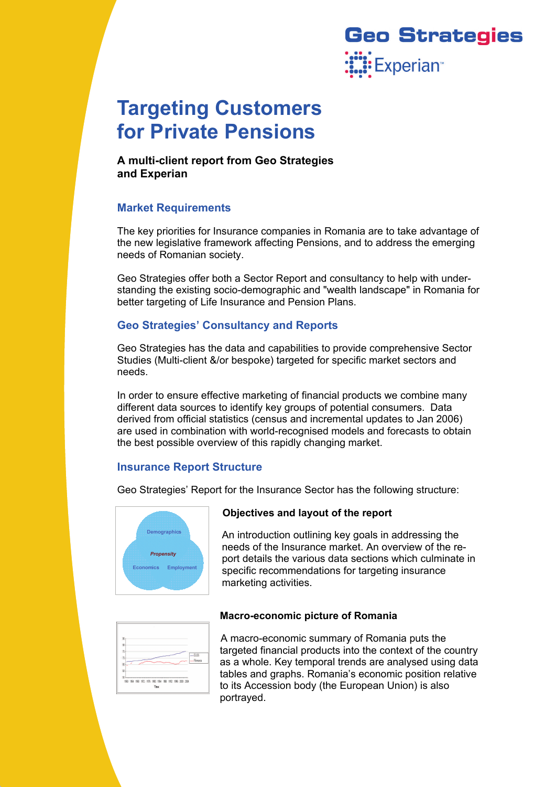

# **Targeting Customers for Private Pensions**

**A multi-client report from Geo Strategies and Experian** 

# **Market Requirements**

The key priorities for Insurance companies in Romania are to take advantage of the new legislative framework affecting Pensions, and to address the emerging needs of Romanian society.

Geo Strategies offer both a Sector Report and consultancy to help with understanding the existing socio-demographic and "wealth landscape" in Romania for better targeting of Life Insurance and Pension Plans.

# **Geo Strategies' Consultancy and Reports**

Geo Strategies has the data and capabilities to provide comprehensive Sector Studies (Multi-client &/or bespoke) targeted for specific market sectors and needs.

In order to ensure effective marketing of financial products we combine many different data sources to identify key groups of potential consumers. Data derived from official statistics (census and incremental updates to Jan 2006) are used in combination with world-recognised models and forecasts to obtain the best possible overview of this rapidly changing market.

# **Insurance Report Structure**

Geo Strategies' Report for the Insurance Sector has the following structure:



## **Objectives and layout of the report**

An introduction outlining key goals in addressing the needs of the Insurance market. An overview of the report details the various data sections which culminate in specific recommendations for targeting insurance marketing activities.

## **Macro-economic picture of Romania**

| 80              |  |  |                          |
|-----------------|--|--|--------------------------|
| 历               |  |  |                          |
| $\overline{10}$ |  |  | $-5/5$<br><b>Brmania</b> |
| 85              |  |  |                          |
| 53              |  |  |                          |

A macro-economic summary of Romania puts the targeted financial products into the context of the country as a whole. Key temporal trends are analysed using data tables and graphs. Romania's economic position relative to its Accession body (the European Union) is also portrayed.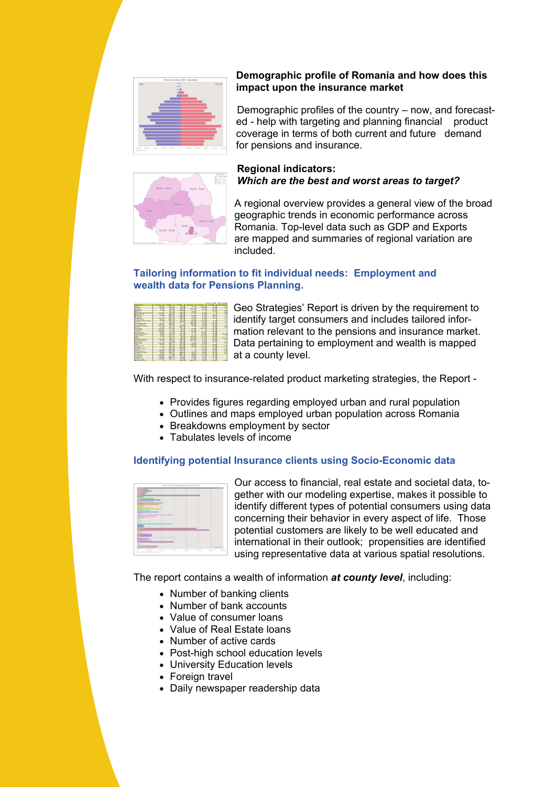

## **Demographic profile of Romania and how does this impact upon the insurance market**

Demographic profiles of the country – now, and forecasted - help with targeting and planning financial product coverage in terms of both current and future demand for pensions and insurance.



## **Regional indicators:**  *Which are the best and worst areas to target?*

A regional overview provides a general view of the broad geographic trends in economic performance across Romania. Top-level data such as GDP and Exports are mapped and summaries of regional variation are included.

## **Tailoring information to fit individual needs: Employment and wealth data for Pensions Planning.**

| <b>Contact of the</b>                         | <b>Contract Contract</b>            | <b>Arry</b><br>÷             | <b>Continued States</b>      | <b>Charles Company</b>         | <b>CONTINUES</b>            | <b><i><u>Programment</u></i></b> | <b>State Street</b> |
|-----------------------------------------------|-------------------------------------|------------------------------|------------------------------|--------------------------------|-----------------------------|----------------------------------|---------------------|
| $\overline{a}$                                |                                     | <b>SER 100</b>               | $\sim$                       | 77.3                           | 42.00                       | σ                                | ю                   |
| diam'r.                                       | я                                   | m                            | e est                        |                                | ۰<br>٠                      | ×                                |                     |
| <b>Brigan</b>                                 | <b>Tal</b>                          | <b>DOLLAR</b>                | <b>SOCK</b>                  | <b>NOCK</b>                    | <b>STAR</b>                 | w                                |                     |
| <b>EXAMINA</b>                                | 1.11                                | 175.00                       | <b>Photo Ave</b>             |                                | (1, 1)                      | 195,53                           | 1.11                |
| <b>Difference</b>                             |                                     | œ                            | 11.0                         | 22                             |                             | 65.65                            | 1.0                 |
| <b>Chiefs Avenue you you can</b>              | <b>All State</b>                    | 20072                        | -65.2                        |                                | $\frac{48}{36}$             |                                  | 锓                   |
| <b>Lighting Street</b>                        | 13.4                                | <b>THE</b><br>$-1$           | S.                           |                                | ă.                          | a.                               |                     |
| <b>Trailer</b>                                | жū                                  |                              |                              | $n + 1$                        |                             |                                  |                     |
| <b>Drawing</b>                                |                                     | <b>COLOR</b>                 | <b>COLOR</b>                 | $\overline{\phantom{a}}$<br>á. | w<br>÷                      |                                  | $+12$               |
|                                               | 55                                  | 28                           | ×.                           |                                | я<br>$-1$                   | 0.1                              |                     |
| $-1412444414$                                 |                                     | OU-A                         | 95.2                         | 75                             |                             |                                  | o                   |
| Aren-Beverlo                                  | $\sim$                              | PER 18                       | 11.00                        | 2.11                           | xn.<br>×                    | 3, 410                           |                     |
| <b>STAR</b>                                   |                                     | $-0.00$                      | <b>GEN ATA</b>               | 93.0                           | 9.0                         | 19.75                            | 1.15                |
| <b>Hristens</b>                               | $\alpha$                            | <b>STATE</b>                 | <b>KOS</b>                   | <b>Service</b>                 | 5.76                        | ٠<br>33.                         |                     |
| <b>CONTINUES</b>                              | <b>TATI</b>                         | <b>William</b>               | <b>Service</b>               | v.                             | яm                          | v.                               |                     |
| <b>Latitude and The</b>                       | $\cdots$                            | vn o<br>я                    |                              | 1.11                           | <b>A</b> <i>P</i>           | 12.0<br>۰                        | тn                  |
| Outl                                          | ٠<br>$\rightarrow$                  | 56                           | 00.1                         |                                | 110                         | ×                                | 7.5                 |
| <b>Public</b>                                 | <b>TANKS</b>                        | 4.4 69                       | 22.3                         | $\sqrt{2}$                     | $-17.0$                     | z<br>w.<br><b>All Control</b>    |                     |
| <b>Charles</b>                                | <b>Second</b>                       | 93<br>z                      | $\sim$                       | w.                             |                             |                                  |                     |
| $-0.001$                                      | 113.11                              | $P_{\rm{max}}$               | $100 - 100$                  | 14.71                          | $9 - 97$                    | <b>VAL A</b>                     |                     |
| <b>FEATURES</b>                               | 2.8                                 | 65.8                         | <b>Wind</b>                  | 8.74                           | 19.60                       | $\overline{1}$                   | ٠,                  |
| <b><i>SERVICE CONTINUES</i></b>               | <b>COLLECTION</b><br><b>SPRE</b>    |                              | - 19<br><b>Service</b>       |                                | $\overline{R}$              | <b>ALC UNK</b><br>жe             |                     |
| $A$ is a set of $A$<br>1.11                   | ÷                                   | $-1000$<br><b>STATISTICS</b> | ù.                           | 23                             | <b>SPERM</b><br>--          |                                  |                     |
|                                               |                                     |                              |                              |                                | w                           | $P_{\text{max}}$                 |                     |
| <b>DY</b> and                                 |                                     | 10.01                        | rā<br>5                      | <b>TILL</b>                    | z                           | ow                               | <b>TOT</b>          |
| <b>Pull air anni tair mn</b>                  | 125                                 | 25.2                         | 40.00                        | $17 - 41$                      | ٠                           | ŵ<br>٠                           | $\overline{1}$      |
| <b><i><u>Advised and Constitution</u></i></b> |                                     |                              | <b>Selection</b>             | 参                              | <b>ALC: UNK</b>             | <b>COLOR</b>                     |                     |
| <b>Editor And</b>                             |                                     | 12.01                        | 01.7                         |                                | ÷.                          | 0.1                              | 1.2                 |
| <b>FAIR AVENU</b>                             | 375.00                              | nm.<br>٠<br>$200 - 1$        | ₩<br>w                       | an an<br>www.                  | 7.11<br>v                   |                                  | 1.1                 |
| œ                                             | <b>CALLS</b>                        | <b>STORY</b>                 | 30<br><b>STATION</b>         | $\sim$                         | $\overline{1}$<br>з         | <b>COLOR</b><br><b>Barnet</b>    | $\overline{1}$      |
| <b><i>California</i></b>                      |                                     | s<br>                        |                              | <b>TAXABLE</b>                 | ÷                           |                                  |                     |
| 100                                           | 7.1<br>÷                            | Ξï                           | <b>PLU PV</b><br><b>WIDO</b> |                                | τñ<br>ы                     | 1.75<br>÷                        |                     |
| <b>Call to Milliar as</b>                     |                                     |                              |                              |                                |                             | ÷                                | <b>T.TE</b>         |
| <b>STATISTICS</b>                             | $-0.01$<br>÷                        | <b>Ro</b><br>z               | 34.0<br>an a                 |                                | ×<br>z                      | w.<br>а                          | ÷3                  |
| <b>MERAVA</b>                                 |                                     | - 22<br>w<br>×               |                              | з                              | ×                           | w                                |                     |
| <b>ALLEN HOLLAND</b>                          | 33                                  | o.<br>33<br>s                | 23                           | s.                             | ŝ<br>डा                     | 83                               | ы                   |
| <b>Corn M</b>                                 |                                     |                              |                              |                                |                             |                                  |                     |
| Turksman                                      | <b>A Corporate</b><br><b>Dealer</b> | ×<br>$\rightarrow$<br>÷      | 494.4<br>w                   | -2                             | - 10<br>$\overline{1}$<br>x | 100000                           |                     |
| <b>Stationary</b>                             |                                     |                              | w                            | 74.44                          | ÷                           |                                  |                     |
| $7 - 101$                                     | $\overline{1}$                      | $200 - 1$                    | 20.0                         | $\sim$                         |                             | e.                               |                     |
| <b><i><u>Vitancies</u></i></b>                | 111.54                              | Past 19                      | <b>THE RM</b>                | nia.                           | $n_{M}$                     | ж                                |                     |
| <b>Chairman and I</b>                         |                                     |                              | <b>HER AT</b>                | <b>Sele</b><br>-               | ÷                           | 16                               | 06.16               |

Geo Strategies' Report is driven by the requirement to identify target consumers and includes tailored information relevant to the pensions and insurance market. Data pertaining to employment and wealth is mapped at a county level.

With respect to insurance-related product marketing strategies, the Report -

- Provides figures regarding employed urban and rural population
- Outlines and maps employed urban population across Romania
- Breakdowns employment by sector
- Tabulates levels of income

# **Identifying potential Insurance clients using Socio-Economic data**



Our access to financial, real estate and societal data, together with our modeling expertise, makes it possible to identify different types of potential consumers using data concerning their behavior in every aspect of life. Those potential customers are likely to be well educated and international in their outlook; propensities are identified using representative data at various spatial resolutions.

The report contains a wealth of information *at county level*, including:

- Number of banking clients
- Number of bank accounts
- Value of consumer loans
- Value of Real Estate loans
- Number of active cards
- Post-high school education levels
- University Education levels
- Foreign travel
- Daily newspaper readership data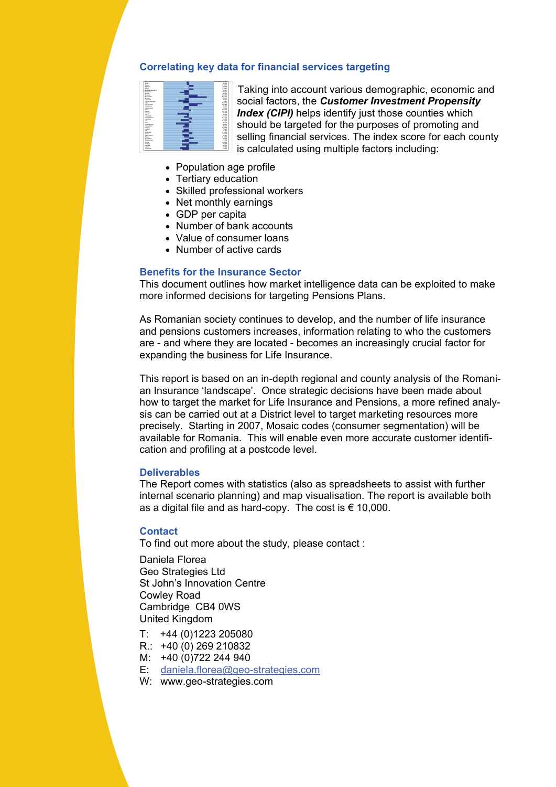#### **Correlating key data for financial services targeting**



Taking into account various demographic, economic and social factors, the *Customer Investment Propensity Index (CIPI)* helps identify just those counties which should be targeted for the purposes of promoting and selling financial services. The index score for each county is calculated using multiple factors including:

- Population age profile
- Tertiary education
- Skilled professional workers
- Net monthly earnings
- GDP per capita
- Number of bank accounts
- Value of consumer loans
- Number of active cards

#### **Benefits for the Insurance Sector**

This document outlines how market intelligence data can be exploited to make more informed decisions for targeting Pensions Plans.

As Romanian society continues to develop, and the number of life insurance and pensions customers increases, information relating to who the customers are - and where they are located - becomes an increasingly crucial factor for expanding the business for Life Insurance.

This report is based on an in-depth regional and county analysis of the Romanian Insurance 'landscape'. Once strategic decisions have been made about how to target the market for Life Insurance and Pensions, a more refined analysis can be carried out at a District level to target marketing resources more precisely. Starting in 2007, Mosaic codes (consumer segmentation) will be available for Romania. This will enable even more accurate customer identification and profiling at a postcode level.

#### **Deliverables**

The Report comes with statistics (also as spreadsheets to assist with further internal scenario planning) and map visualisation. The report is available both as a digital file and as hard-copy. The cost is  $\epsilon$  10,000.

#### **Contact**

To find out more about the study, please contact :

Daniela Florea Geo Strategies Ltd St John's Innovation Centre Cowley Road Cambridge CB4 0WS United Kingdom

- T: +44 (0)1223 205080
- R.: +40 (0) 269 210832
- M: +40 (0)722 244 940
- E: [daniela.florea@geo-strategies.com](mailto:daniela.florea@geo-strategies.com)
- W: www.geo-strategies.com